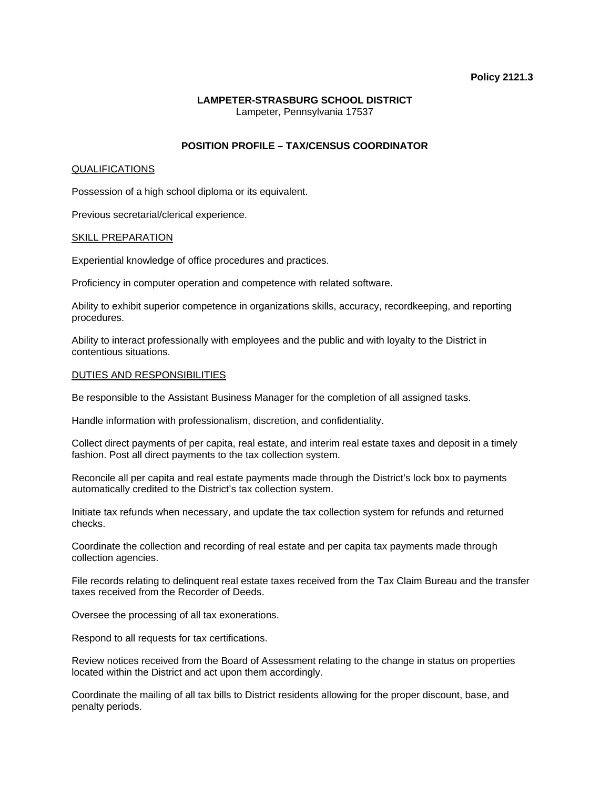### **Policy 2121.3**

## **LAMPETER-STRASBURG SCHOOL DISTRICT**  Lampeter, Pennsylvania 17537

# **POSITION PROFILE – TAX/CENSUS COORDINATOR**

#### QUALIFICATIONS

Possession of a high school diploma or its equivalent.

Previous secretarial/clerical experience.

#### SKILL PREPARATION

Experiential knowledge of office procedures and practices.

Proficiency in computer operation and competence with related software.

Ability to exhibit superior competence in organizations skills, accuracy, recordkeeping, and reporting procedures.

Ability to interact professionally with employees and the public and with loyalty to the District in contentious situations.

#### DUTIES AND RESPONSIBILITIES

Be responsible to the Assistant Business Manager for the completion of all assigned tasks.

Handle information with professionalism, discretion, and confidentiality.

Collect direct payments of per capita, real estate, and interim real estate taxes and deposit in a timely fashion. Post all direct payments to the tax collection system.

Reconcile all per capita and real estate payments made through the District's lock box to payments automatically credited to the District's tax collection system.

Initiate tax refunds when necessary, and update the tax collection system for refunds and returned checks.

Coordinate the collection and recording of real estate and per capita tax payments made through collection agencies.

File records relating to delinquent real estate taxes received from the Tax Claim Bureau and the transfer taxes received from the Recorder of Deeds.

Oversee the processing of all tax exonerations.

Respond to all requests for tax certifications.

Review notices received from the Board of Assessment relating to the change in status on properties located within the District and act upon them accordingly.

Coordinate the mailing of all tax bills to District residents allowing for the proper discount, base, and penalty periods.